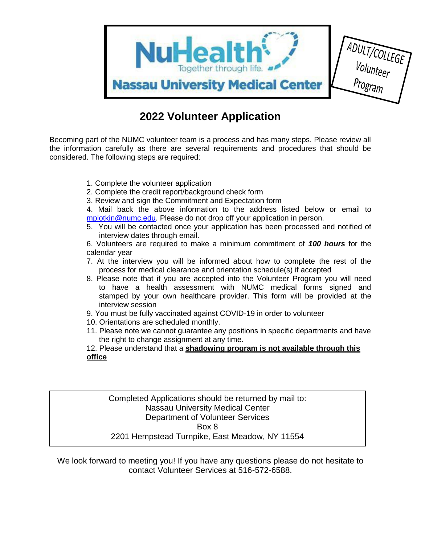

## **2022 Volunteer Application**

Becoming part of the NUMC volunteer team is a process and has many steps. Please review all the information carefully as there are several requirements and procedures that should be considered. The following steps are required:

- 1. Complete the volunteer application
- 2. Complete the credit report/background check form
- 3. Review and sign the Commitment and Expectation form

4. Mail back the above information to the address listed below or email to [mplotkin@numc.edu.](mailto:mplotkin@numc.edu) Please do not drop off your application in person.

5. You will be contacted once your application has been processed and notified of interview dates through email.

6. Volunteers are required to make a minimum commitment of *100 hours* for the calendar year

- 7. At the interview you will be informed about how to complete the rest of the process for medical clearance and orientation schedule(s) if accepted
- 8. Please note that if you are accepted into the Volunteer Program you will need to have a health assessment with NUMC medical forms signed and stamped by your own healthcare provider. This form will be provided at the interview session
- 9. You must be fully vaccinated against COVID-19 in order to volunteer
- 10. Orientations are scheduled monthly.
- 11. Please note we cannot guarantee any positions in specific departments and have the right to change assignment at any time.
- 12. Please understand that a **shadowing program is not available through this office**

Completed Applications should be returned by mail to: Nassau University Medical Center Department of Volunteer Services Box 8 2201 Hempstead Turnpike, East Meadow, NY 11554

We look forward to meeting you! If you have any questions please do not hesitate to contact Volunteer Services at 516-572-6588.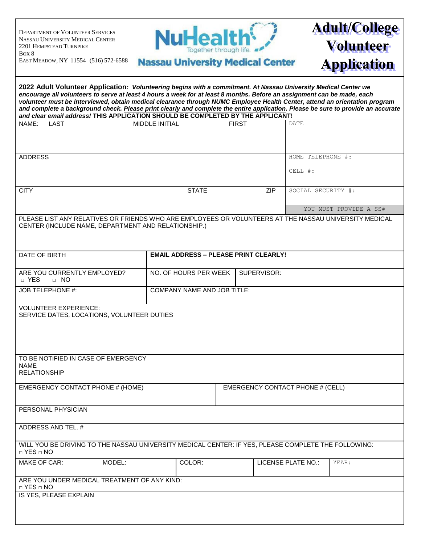| <b>DEPARTMENT OF VOLUNTEER SERVICES</b><br>NASSAU UNIVERSITY MEDICAL CENTER                                                                                                                                                                                                                                                                                                                                                                                                                                                                                                                     | NuHealth <sup>{</sup>                                            |                                         |                              | <b>Adult/College</b>                   |
|-------------------------------------------------------------------------------------------------------------------------------------------------------------------------------------------------------------------------------------------------------------------------------------------------------------------------------------------------------------------------------------------------------------------------------------------------------------------------------------------------------------------------------------------------------------------------------------------------|------------------------------------------------------------------|-----------------------------------------|------------------------------|----------------------------------------|
| 2201 HEMPSTEAD TURNPIKE<br>Box 8<br>EAST MEADOW, NY 11554 (516) 572-6588                                                                                                                                                                                                                                                                                                                                                                                                                                                                                                                        | Together through life<br><b>Nassau University Medical Center</b> |                                         |                              | <b>Volunteer</b><br><b>Application</b> |
| 2022 Adult Volunteer Application: Volunteering begins with a commitment. At Nassau University Medical Center we<br>encourage all volunteers to serve at least 4 hours a week for at least 8 months. Before an assignment can be made, each<br>volunteer must be interviewed, obtain medical clearance through NUMC Employee Health Center, attend an orientation program<br>and complete a background check. Please print clearly and complete the entire application. Please be sure to provide an accurate<br>and clear email address! THIS APPLICATION SHOULD BE COMPLETED BY THE APPLICANT! |                                                                  |                                         |                              |                                        |
| NAME:<br><b>LAST</b>                                                                                                                                                                                                                                                                                                                                                                                                                                                                                                                                                                            | MIDDLE INITIAL                                                   | <b>FIRST</b>                            | <b>DATE</b>                  |                                        |
| <b>ADDRESS</b>                                                                                                                                                                                                                                                                                                                                                                                                                                                                                                                                                                                  |                                                                  |                                         | HOME TELEPHONE #:<br>CELL #: |                                        |
| <b>CITY</b>                                                                                                                                                                                                                                                                                                                                                                                                                                                                                                                                                                                     | <b>STATE</b>                                                     | <b>ZIP</b>                              | SOCIAL SECURITY #:           | YOU MUST PROVIDE A SS#                 |
| PLEASE LIST ANY RELATIVES OR FRIENDS WHO ARE EMPLOYEES OR VOLUNTEERS AT THE NASSAU UNIVERSITY MEDICAL<br>CENTER (INCLUDE NAME, DEPARTMENT AND RELATIONSHIP.)                                                                                                                                                                                                                                                                                                                                                                                                                                    |                                                                  |                                         |                              |                                        |
| DATE OF BIRTH                                                                                                                                                                                                                                                                                                                                                                                                                                                                                                                                                                                   | <b>EMAIL ADDRESS - PLEASE PRINT CLEARLY!</b>                     |                                         |                              |                                        |
| ARE YOU CURRENTLY EMPLOYED?<br>$\sqcap$ YES<br>$\Box$ NO                                                                                                                                                                                                                                                                                                                                                                                                                                                                                                                                        | NO. OF HOURS PER WEEK                                            | SUPERVISOR:                             |                              |                                        |
| JOB TELEPHONE #:                                                                                                                                                                                                                                                                                                                                                                                                                                                                                                                                                                                | COMPANY NAME AND JOB TITLE:                                      |                                         |                              |                                        |
| <b>VOLUNTEER EXPERIENCE:</b><br>SERVICE DATES, LOCATIONS, VOLUNTEER DUTIES<br>TO BE NOTIFIED IN CASE OF EMERGENCY                                                                                                                                                                                                                                                                                                                                                                                                                                                                               |                                                                  |                                         |                              |                                        |
| <b>NAME</b><br><b>RELATIONSHIP</b>                                                                                                                                                                                                                                                                                                                                                                                                                                                                                                                                                              |                                                                  |                                         |                              |                                        |
| EMERGENCY CONTACT PHONE # (HOME)                                                                                                                                                                                                                                                                                                                                                                                                                                                                                                                                                                |                                                                  | <b>EMERGENCY CONTACT PHONE # (CELL)</b> |                              |                                        |
| PERSONAL PHYSICIAN                                                                                                                                                                                                                                                                                                                                                                                                                                                                                                                                                                              |                                                                  |                                         |                              |                                        |
| ADDRESS AND TEL. #                                                                                                                                                                                                                                                                                                                                                                                                                                                                                                                                                                              |                                                                  |                                         |                              |                                        |
| WILL YOU BE DRIVING TO THE NASSAU UNIVERSITY MEDICAL CENTER: IF YES, PLEASE COMPLETE THE FOLLOWING:<br>$\Box$ YES $\Box$ NO                                                                                                                                                                                                                                                                                                                                                                                                                                                                     |                                                                  |                                         |                              |                                        |
| <b>MAKE OF CAR:</b><br>MODEL:                                                                                                                                                                                                                                                                                                                                                                                                                                                                                                                                                                   | COLOR:                                                           |                                         | LICENSE PLATE NO.:           | YEAR:                                  |
| ARE YOU UNDER MEDICAL TREATMENT OF ANY KIND:<br>$\Box$ YES $\Box$ NO<br>IS YES, PLEASE EXPLAIN                                                                                                                                                                                                                                                                                                                                                                                                                                                                                                  |                                                                  |                                         |                              |                                        |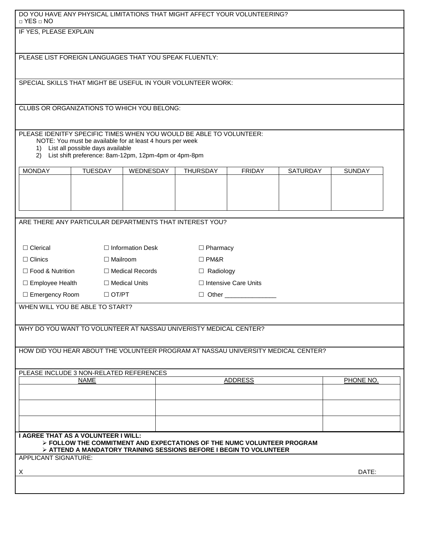| DO YOU HAVE ANY PHYSICAL LIMITATIONS THAT MIGHT AFFECT YOUR VOLUNTEERING?<br>$\Box$ YES $\Box$ NO             |                                                        |                                                           |                                                                                   |               |                 |               |  |  |
|---------------------------------------------------------------------------------------------------------------|--------------------------------------------------------|-----------------------------------------------------------|-----------------------------------------------------------------------------------|---------------|-----------------|---------------|--|--|
| IF YES, PLEASE EXPLAIN                                                                                        |                                                        |                                                           |                                                                                   |               |                 |               |  |  |
|                                                                                                               |                                                        |                                                           |                                                                                   |               |                 |               |  |  |
|                                                                                                               | PLEASE LIST FOREIGN LANGUAGES THAT YOU SPEAK FLUENTLY: |                                                           |                                                                                   |               |                 |               |  |  |
|                                                                                                               |                                                        |                                                           |                                                                                   |               |                 |               |  |  |
|                                                                                                               |                                                        |                                                           | SPECIAL SKILLS THAT MIGHT BE USEFUL IN YOUR VOLUNTEER WORK:                       |               |                 |               |  |  |
|                                                                                                               |                                                        | CLUBS OR ORGANIZATIONS TO WHICH YOU BELONG:               |                                                                                   |               |                 |               |  |  |
|                                                                                                               |                                                        |                                                           |                                                                                   |               |                 |               |  |  |
|                                                                                                               |                                                        |                                                           | PLEASE IDENITFY SPECIFIC TIMES WHEN YOU WOULD BE ABLE TO VOLUNTEER:               |               |                 |               |  |  |
|                                                                                                               | 1) List all possible days available                    | NOTE: You must be available for at least 4 hours per week |                                                                                   |               |                 |               |  |  |
|                                                                                                               |                                                        | 2) List shift preference: 8am-12pm, 12pm-4pm or 4pm-8pm   |                                                                                   |               |                 |               |  |  |
| <b>MONDAY</b>                                                                                                 | <b>TUESDAY</b>                                         | WEDNESDAY                                                 | <b>THURSDAY</b>                                                                   | <b>FRIDAY</b> | <b>SATURDAY</b> | <b>SUNDAY</b> |  |  |
|                                                                                                               |                                                        |                                                           |                                                                                   |               |                 |               |  |  |
|                                                                                                               |                                                        |                                                           |                                                                                   |               |                 |               |  |  |
|                                                                                                               |                                                        |                                                           |                                                                                   |               |                 |               |  |  |
|                                                                                                               |                                                        | ARE THERE ANY PARTICULAR DEPARTMENTS THAT INTEREST YOU?   |                                                                                   |               |                 |               |  |  |
|                                                                                                               |                                                        |                                                           |                                                                                   |               |                 |               |  |  |
| $\Box$ Clerical                                                                                               |                                                        | □ Information Desk<br>$\Box$ Pharmacy                     |                                                                                   |               |                 |               |  |  |
| $\Box$ Clinics                                                                                                | $\Box$ Mailroom                                        | $\Box$ PM&R                                               |                                                                                   |               |                 |               |  |  |
| □ Food & Nutrition                                                                                            |                                                        | □ Medical Records                                         | $\Box$ Radiology                                                                  |               |                 |               |  |  |
| $\Box$ Employee Health                                                                                        |                                                        | □ Medical Units                                           | □ Intensive Care Units                                                            |               |                 |               |  |  |
| □ Emergency Room<br>$\Box$ OT/PT<br>$\Box$ Other<br>WHEN WILL YOU BE ABLE TO START?                           |                                                        |                                                           |                                                                                   |               |                 |               |  |  |
|                                                                                                               |                                                        |                                                           |                                                                                   |               |                 |               |  |  |
|                                                                                                               |                                                        |                                                           | WHY DO YOU WANT TO VOLUNTEER AT NASSAU UNIVERISTY MEDICAL CENTER?                 |               |                 |               |  |  |
|                                                                                                               |                                                        |                                                           |                                                                                   |               |                 |               |  |  |
|                                                                                                               |                                                        |                                                           | HOW DID YOU HEAR ABOUT THE VOLUNTEER PROGRAM AT NASSAU UNIVERSITY MEDICAL CENTER? |               |                 |               |  |  |
|                                                                                                               |                                                        |                                                           |                                                                                   |               |                 |               |  |  |
| PLEASE INCLUDE 3 NON-RELATED REFERENCES<br><b>NAME</b><br><b>ADDRESS</b>                                      |                                                        |                                                           |                                                                                   |               | PHONE NO.       |               |  |  |
|                                                                                                               |                                                        |                                                           |                                                                                   |               |                 |               |  |  |
|                                                                                                               |                                                        |                                                           |                                                                                   |               |                 |               |  |  |
|                                                                                                               |                                                        |                                                           |                                                                                   |               |                 |               |  |  |
|                                                                                                               |                                                        |                                                           |                                                                                   |               |                 |               |  |  |
| I AGREE THAT AS A VOLUNTEER I WILL:<br>> FOLLOW THE COMMITMENT AND EXPECTATIONS OF THE NUMC VOLUNTEER PROGRAM |                                                        |                                                           |                                                                                   |               |                 |               |  |  |
| $\triangleright$ ATTEND A MANDATORY TRAINING SESSIONS BEFORE I BEGIN TO VOLUNTEER<br>APPLICANT SIGNATURE:     |                                                        |                                                           |                                                                                   |               |                 |               |  |  |
| X                                                                                                             |                                                        |                                                           |                                                                                   |               |                 | DATE:         |  |  |
|                                                                                                               |                                                        |                                                           |                                                                                   |               |                 |               |  |  |
|                                                                                                               |                                                        |                                                           |                                                                                   |               |                 |               |  |  |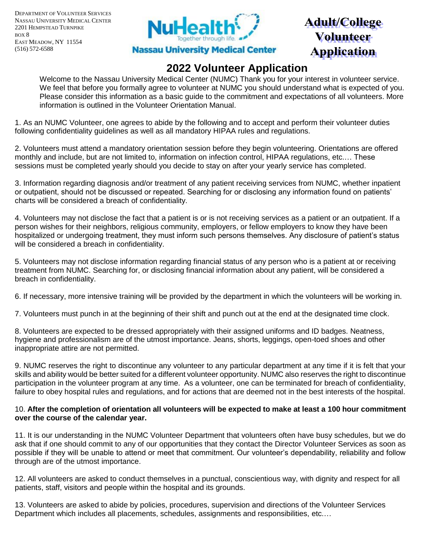DEPARTMENT OF VOLUNTEER SERVICES NASSAU UNIVERSITY MEDICAL CENTER 2201 HEMPSTEAD TURNPIKE BOX 8 EAST MEADOW, NY 11554 (516) 572-6588



# **Adult/College Volunteer Application**

### **2022 Volunteer Application**

Welcome to the Nassau University Medical Center (NUMC) Thank you for your interest in volunteer service. We feel that before you formally agree to volunteer at NUMC you should understand what is expected of you. Please consider this information as a basic guide to the commitment and expectations of all volunteers. More information is outlined in the Volunteer Orientation Manual.

1. As an NUMC Volunteer, one agrees to abide by the following and to accept and perform their volunteer duties following confidentiality guidelines as well as all mandatory HIPAA rules and regulations.

2. Volunteers must attend a mandatory orientation session before they begin volunteering. Orientations are offered monthly and include, but are not limited to, information on infection control, HIPAA regulations, etc.… These sessions must be completed yearly should you decide to stay on after your yearly service has completed.

3. Information regarding diagnosis and/or treatment of any patient receiving services from NUMC, whether inpatient or outpatient, should not be discussed or repeated. Searching for or disclosing any information found on patients' charts will be considered a breach of confidentiality.

4. Volunteers may not disclose the fact that a patient is or is not receiving services as a patient or an outpatient. If a person wishes for their neighbors, religious community, employers, or fellow employers to know they have been hospitalized or undergoing treatment, they must inform such persons themselves. Any disclosure of patient's status will be considered a breach in confidentiality.

5. Volunteers may not disclose information regarding financial status of any person who is a patient at or receiving treatment from NUMC. Searching for, or disclosing financial information about any patient, will be considered a breach in confidentiality.

6. If necessary, more intensive training will be provided by the department in which the volunteers will be working in.

7. Volunteers must punch in at the beginning of their shift and punch out at the end at the designated time clock.

8. Volunteers are expected to be dressed appropriately with their assigned uniforms and ID badges. Neatness, hygiene and professionalism are of the utmost importance. Jeans, shorts, leggings, open-toed shoes and other inappropriate attire are not permitted.

9. NUMC reserves the right to discontinue any volunteer to any particular department at any time if it is felt that your skills and ability would be better suited for a different volunteer opportunity. NUMC also reserves the right to discontinue participation in the volunteer program at any time. As a volunteer, one can be terminated for breach of confidentiality, failure to obey hospital rules and regulations, and for actions that are deemed not in the best interests of the hospital.

#### 10. **After the completion of orientation all volunteers will be expected to make at least a 100 hour commitment over the course of the calendar year.**

11. It is our understanding in the NUMC Volunteer Department that volunteers often have busy schedules, but we do ask that if one should commit to any of our opportunities that they contact the Director Volunteer Services as soon as possible if they will be unable to attend or meet that commitment. Our volunteer's dependability, reliability and follow through are of the utmost importance.

12. All volunteers are asked to conduct themselves in a punctual, conscientious way, with dignity and respect for all patients, staff, visitors and people within the hospital and its grounds.

13. Volunteers are asked to abide by policies, procedures, supervision and directions of the Volunteer Services Department which includes all placements, schedules, assignments and responsibilities, etc.…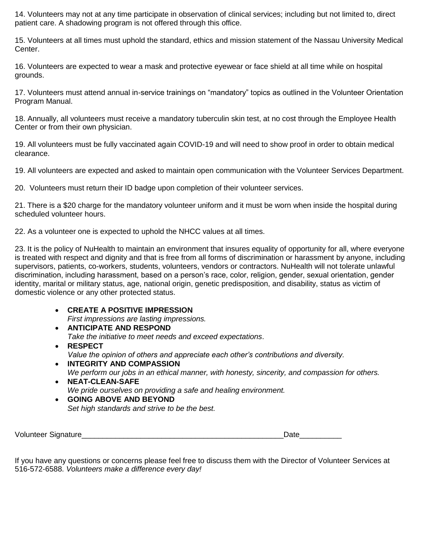14. Volunteers may not at any time participate in observation of clinical services; including but not limited to, direct patient care. A shadowing program is not offered through this office.

15. Volunteers at all times must uphold the standard, ethics and mission statement of the Nassau University Medical Center.

16. Volunteers are expected to wear a mask and protective eyewear or face shield at all time while on hospital grounds.

17. Volunteers must attend annual in-service trainings on "mandatory" topics as outlined in the Volunteer Orientation Program Manual.

18. Annually, all volunteers must receive a mandatory tuberculin skin test, at no cost through the Employee Health Center or from their own physician.

19. All volunteers must be fully vaccinated again COVID-19 and will need to show proof in order to obtain medical clearance.

19. All volunteers are expected and asked to maintain open communication with the Volunteer Services Department.

20. Volunteers must return their ID badge upon completion of their volunteer services.

21. There is a \$20 charge for the mandatory volunteer uniform and it must be worn when inside the hospital during scheduled volunteer hours.

22. As a volunteer one is expected to uphold the NHCC values at all times.

23. It is the policy of NuHealth to maintain an environment that insures equality of opportunity for all, where everyone is treated with respect and dignity and that is free from all forms of discrimination or harassment by anyone, including supervisors, patients, co-workers, students, volunteers, vendors or contractors. NuHealth will not tolerate unlawful discrimination, including harassment, based on a person's race, color, religion, gender, sexual orientation, gender identity, marital or military status, age, national origin, genetic predisposition, and disability, status as victim of domestic violence or any other protected status.

### **CREATE A POSITIVE IMPRESSION**

*First impressions are lasting impressions.* 

- **ANTICIPATE AND RESPOND** *Take the initiative to meet needs and exceed expectations*.
- **RESPECT** *Value the opinion of others and appreciate each other's contributions and diversity.*
- **INTEGRITY AND COMPASSION** *We perform our jobs in an ethical manner, with honesty, sincerity, and compassion for others.*
- **NEAT-CLEAN-SAFE** *We pride ourselves on providing a safe and healing environment.*

 **GOING ABOVE AND BEYOND** *Set high standards and strive to be the best.* 

Volunteer Signature\_\_\_\_\_\_\_\_\_\_\_\_\_\_\_\_\_\_\_\_\_\_\_\_\_\_\_\_\_\_\_\_\_\_\_\_\_\_\_\_\_\_\_\_\_\_\_\_Date\_\_\_\_\_\_\_\_\_\_

If you have any questions or concerns please feel free to discuss them with the Director of Volunteer Services at 516-572-6588. *Volunteers make a difference every day!*